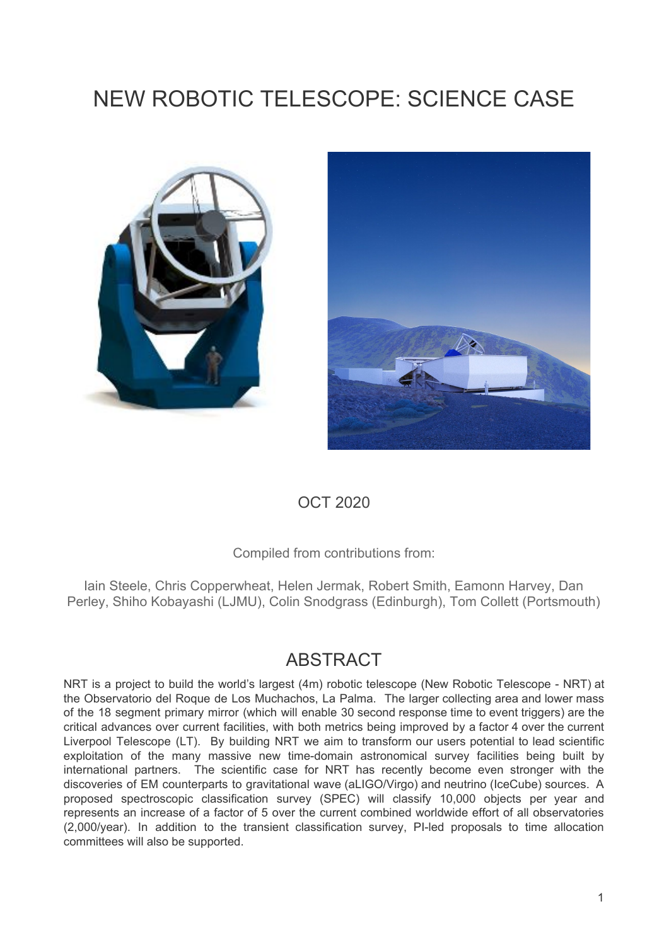# NEW ROBOTIC TELESCOPE: SCIENCE CASE





## OCT 2020

Compiled from contributions from:

Iain Steele, Chris Copperwheat, Helen Jermak, Robert Smith, Eamonn Harvey, Dan Perley, Shiho Kobayashi (LJMU), Colin Snodgrass (Edinburgh), Tom Collett (Portsmouth)

## ABSTRACT

NRT is a project to build the world's largest (4m) robotic telescope (New Robotic Telescope - NRT) at the Observatorio del Roque de Los Muchachos, La Palma. The larger collecting area and lower mass of the 18 segment primary mirror (which will enable 30 second response time to event triggers) are the critical advances over current facilities, with both metrics being improved by a factor 4 over the current Liverpool Telescope (LT). By building NRT we aim to transform our users potential to lead scientific exploitation of the many massive new time-domain astronomical survey facilities being built by international partners. The scientific case for NRT has recently become even stronger with the discoveries of EM counterparts to gravitational wave (aLIGO/Virgo) and neutrino (IceCube) sources. A proposed spectroscopic classification survey (SPEC) will classify 10,000 objects per year and represents an increase of a factor of 5 over the current combined worldwide effort of all observatories (2,000/year). In addition to the transient classification survey, PI-led proposals to time allocation committees will also be supported.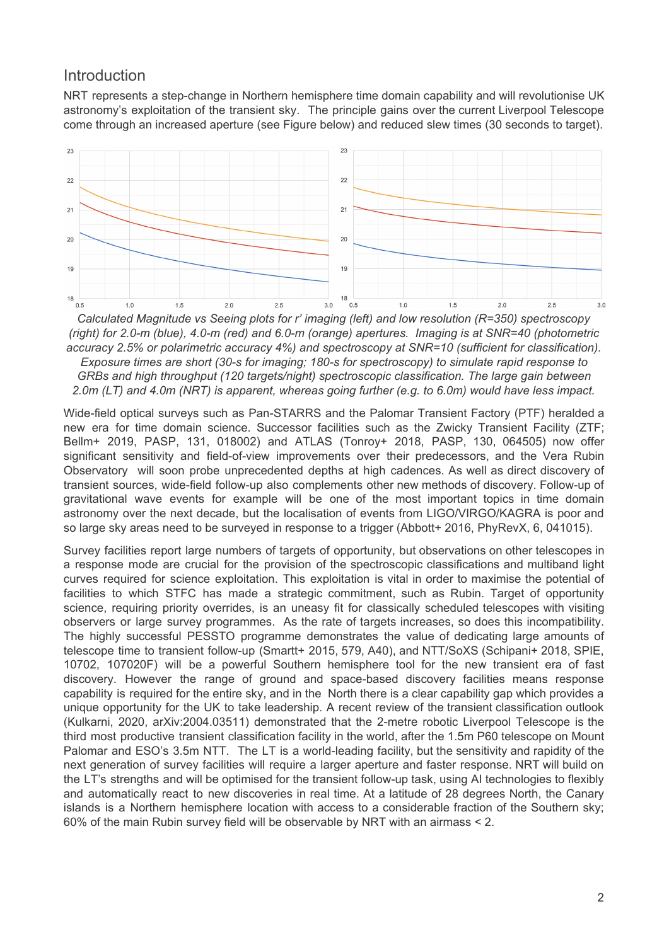#### **Introduction**

NRT represents a step-change in Northern hemisphere time domain capability and will revolutionise UK astronomy's exploitation of the transient sky. The principle gains over the current Liverpool Telescope come through an increased aperture (see Figure below) and reduced slew times (30 seconds to target).



*(right) for 2.0-m (blue), 4.0-m (red) and 6.0-m (orange) apertures. Imaging is at SNR=40 (photometric accuracy 2.5% or polarimetric accuracy 4%) and spectroscopy at SNR=10 (sufficient for classification). Exposure times are short (30-s for imaging; 180-s for spectroscopy) to simulate rapid response to GRBs and high throughput (120 targets/night) spectroscopic classification. The large gain between 2.0m (LT) and 4.0m (NRT) is apparent, whereas going further (e.g. to 6.0m) would have less impact.*

Wide-field optical surveys such as Pan-STARRS and the Palomar Transient Factory (PTF) heralded a new era for time domain science. Successor facilities such as the Zwicky Transient Facility (ZTF; Bellm+ 2019, PASP, 131, 018002) and ATLAS (Tonroy+ 2018, PASP, 130, 064505) now offer significant sensitivity and field-of-view improvements over their predecessors, and the Vera Rubin Observatory will soon probe unprecedented depths at high cadences. As well as direct discovery of transient sources, wide-field follow-up also complements other new methods of discovery. Follow-up of gravitational wave events for example will be one of the most important topics in time domain astronomy over the next decade, but the localisation of events from LIGO/VIRGO/KAGRA is poor and so large sky areas need to be surveyed in response to a trigger (Abbott+ 2016, PhyRevX, 6, 041015).

Survey facilities report large numbers of targets of opportunity, but observations on other telescopes in a response mode are crucial for the provision of the spectroscopic classifications and multiband light curves required for science exploitation. This exploitation is vital in order to maximise the potential of facilities to which STFC has made a strategic commitment, such as Rubin. Target of opportunity science, requiring priority overrides, is an uneasy fit for classically scheduled telescopes with visiting observers or large survey programmes. As the rate of targets increases, so does this incompatibility. The highly successful PESSTO programme demonstrates the value of dedicating large amounts of telescope time to transient follow-up (Smartt+ 2015, 579, A40), and NTT/SoXS (Schipani+ 2018, SPIE, 10702, 107020F) will be a powerful Southern hemisphere tool for the new transient era of fast discovery. However the range of ground and space-based discovery facilities means response capability is required for the entire sky, and in the North there is a clear capability gap which provides a unique opportunity for the UK to take leadership. A recent review of the transient classification outlook (Kulkarni, 2020, arXiv:2004.03511) demonstrated that the 2-metre robotic Liverpool Telescope is the third most productive transient classification facility in the world, after the 1.5m P60 telescope on Mount Palomar and ESO's 3.5m NTT. The LT is a world-leading facility, but the sensitivity and rapidity of the next generation of survey facilities will require a larger aperture and faster response. NRT will build on the LT's strengths and will be optimised for the transient follow-up task, using AI technologies to flexibly and automatically react to new discoveries in real time. At a latitude of 28 degrees North, the Canary islands is a Northern hemisphere location with access to a considerable fraction of the Southern sky; 60% of the main Rubin survey field will be observable by NRT with an airmass < 2.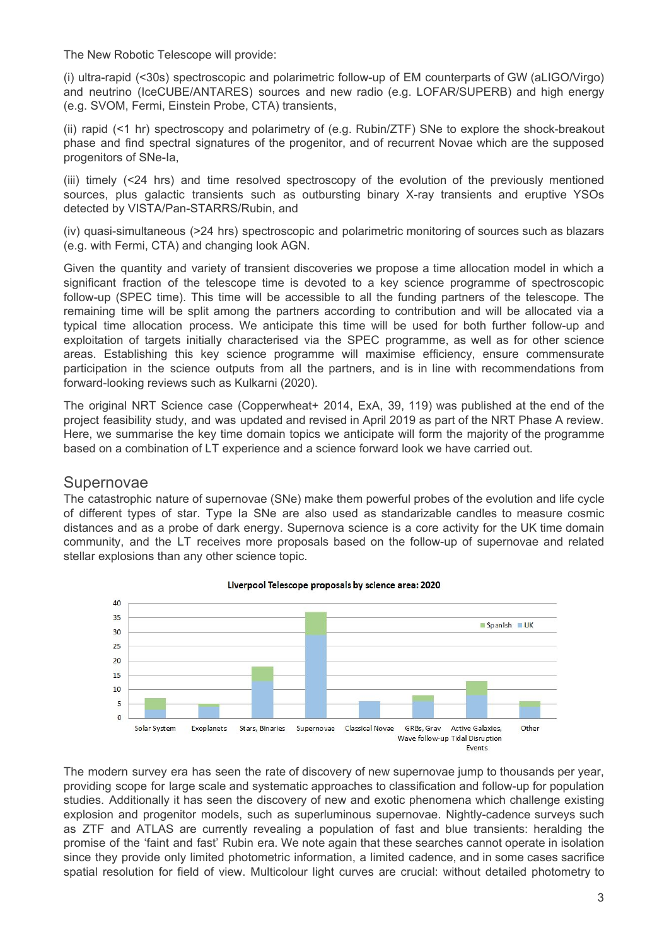The New Robotic Telescope will provide:

(i) ultra-rapid (<30s) spectroscopic and polarimetric follow-up of EM counterparts of GW (aLIGO/Virgo) and neutrino (IceCUBE/ANTARES) sources and new radio (e.g. LOFAR/SUPERB) and high energy (e.g. SVOM, Fermi, Einstein Probe, CTA) transients,

(ii) rapid (<1 hr) spectroscopy and polarimetry of (e.g. Rubin/ZTF) SNe to explore the shock-breakout phase and find spectral signatures of the progenitor, and of recurrent Novae which are the supposed progenitors of SNe-Ia,

(iii) timely (<24 hrs) and time resolved spectroscopy of the evolution of the previously mentioned sources, plus galactic transients such as outbursting binary X-ray transients and eruptive YSOs detected by VISTA/Pan-STARRS/Rubin, and

(iv) quasi-simultaneous (>24 hrs) spectroscopic and polarimetric monitoring of sources such as blazars (e.g. with Fermi, CTA) and changing look AGN.

Given the quantity and variety of transient discoveries we propose a time allocation model in which a significant fraction of the telescope time is devoted to a key science programme of spectroscopic follow-up (SPEC time). This time will be accessible to all the funding partners of the telescope. The remaining time will be split among the partners according to contribution and will be allocated via a typical time allocation process. We anticipate this time will be used for both further follow-up and exploitation of targets initially characterised via the SPEC programme, as well as for other science areas. Establishing this key science programme will maximise efficiency, ensure commensurate participation in the science outputs from all the partners, and is in line with recommendations from forward-looking reviews such as Kulkarni (2020).

The original NRT Science case (Copperwheat+ 2014, ExA, 39, 119) was published at the end of the project feasibility study, and was updated and revised in April 2019 as part of the NRT Phase A review. Here, we summarise the key time domain topics we anticipate will form the majority of the programme based on a combination of LT experience and a science forward look we have carried out.

#### Supernovae

The catastrophic nature of supernovae (SNe) make them powerful probes of the evolution and life cycle of different types of star. Type Ia SNe are also used as standarizable candles to measure cosmic distances and as a probe of dark energy. Supernova science is a core activity for the UK time domain community, and the LT receives more proposals based on the follow-up of supernovae and related stellar explosions than any other science topic.



#### Liverpool Telescope proposals by science area: 2020

The modern survey era has seen the rate of discovery of new supernovae jump to thousands per year, providing scope for large scale and systematic approaches to classification and follow-up for population studies. Additionally it has seen the discovery of new and exotic phenomena which challenge existing explosion and progenitor models, such as superluminous supernovae. Nightly-cadence surveys such as ZTF and ATLAS are currently revealing a population of fast and blue transients: heralding the promise of the 'faint and fast' Rubin era. We note again that these searches cannot operate in isolation since they provide only limited photometric information, a limited cadence, and in some cases sacrifice spatial resolution for field of view. Multicolour light curves are crucial: without detailed photometry to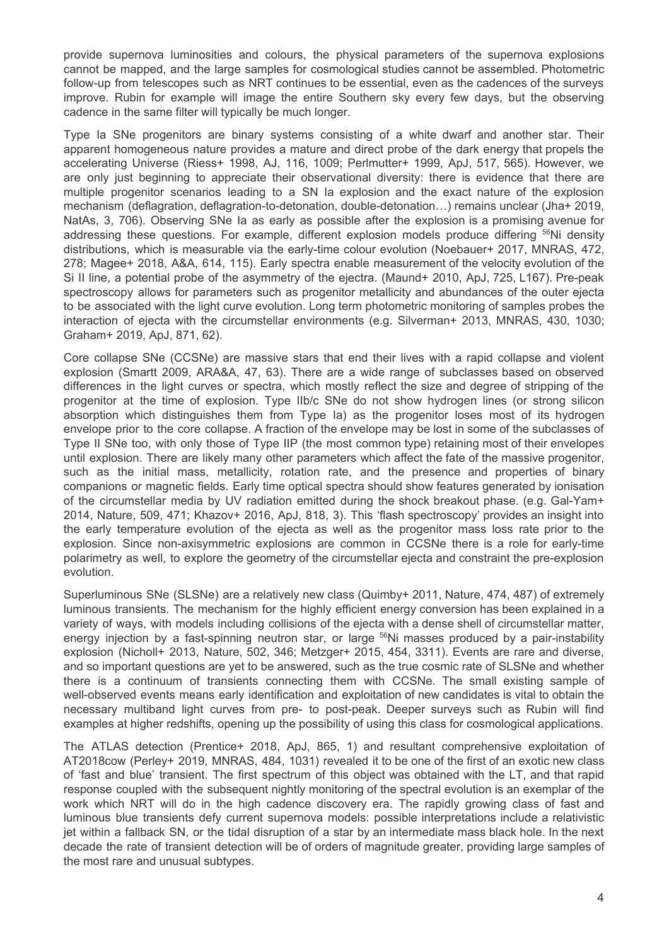provide supernova luminosities and colours, the physical parameters of the supernova explosions cannot be mapped, and the large samples for cosmological studies cannot be assembled. Photometric follow-up from telescopes such as NRT continues to be essential, even as the cadences of the surveys improve. Rubin for example will image the entire Southern sky every few days, but the observing cadence in the same filter will typically be much longer.

Type Ia SNe progenitors are binary systems consisting of a white dwarf and another star. Their apparent homogeneous nature provides a mature and direct probe of the dark energy that propels the accelerating Universe (Riess+ 1998, AJ, 116, 1009; Perlmutter+ 1999, ApJ, 517, 565). However, we are only just beginning to appreciate their observational diversity: there is evidence that there are multiple progenitor scenarios leading to a SN Ia explosion and the exact nature of the explosion mechanism (deflagration, deflagration-to-detonation, double-detonation…) remains unclear (Jha+ 2019, NatAs, 3, 706). Observing SNe Ia as early as possible after the explosion is a promising avenue for addressing these questions. For example, different explosion models produce differing <sup>56</sup>Ni density distributions, which is measurable via the early-time colour evolution (Noebauer+ 2017, MNRAS, 472, 278; Magee+ 2018, A&A, 614, 115). Early spectra enable measurement of the velocity evolution of the Si II line, a potential probe of the asymmetry of the ejectra. (Maund+ 2010, ApJ, 725, L167). Pre-peak spectroscopy allows for parameters such as progenitor metallicity and abundances of the outer ejecta to be associated with the light curve evolution. Long term photometric monitoring of samples probes the interaction of ejecta with the circumstellar environments (e.g. Silverman+ 2013, MNRAS, 430, 1030; Graham+ 2019, ApJ, 871, 62).

Core collapse SNe (CCSNe) are massive stars that end their lives with a rapid collapse and violent explosion (Smartt 2009, ARA&A, 47, 63). There are a wide range of subclasses based on observed differences in the light curves or spectra, which mostly reflect the size and degree of stripping of the progenitor at the time of explosion. Type IIb/c SNe do not show hydrogen lines (or strong silicon absorption which distinguishes them from Type Ia) as the progenitor loses most of its hydrogen envelope prior to the core collapse. A fraction of the envelope may be lost in some of the subclasses of Type II SNe too, with only those of Type IIP (the most common type) retaining most of their envelopes until explosion. There are likely many other parameters which affect the fate of the massive progenitor, such as the initial mass, metallicity, rotation rate, and the presence and properties of binary companions or magnetic fields. Early time optical spectra should show features generated by ionisation of the circumstellar media by UV radiation emitted during the shock breakout phase. (e.g. Gal-Yam+ 2014, Nature, 509, 471; Khazov+ 2016, ApJ, 818, 3). This 'flash spectroscopy' provides an insight into the early temperature evolution of the ejecta as well as the progenitor mass loss rate prior to the explosion. Since non-axisymmetric explosions are common in CCSNe there is a role for early-time polarimetry as well, to explore the geometry of the circumstellar ejecta and constraint the pre-explosion evolution.

Superluminous SNe (SLSNe) are a relatively new class (Quimby+ 2011, Nature, 474, 487) of extremely luminous transients. The mechanism for the highly efficient energy conversion has been explained in a variety of ways, with models including collisions of the ejecta with a dense shell of circumstellar matter, energy injection by a fast-spinning neutron star, or large <sup>56</sup>Ni masses produced by a pair-instability explosion (Nicholl+ 2013, Nature, 502, 346; Metzger+ 2015, 454, 3311). Events are rare and diverse, and so important questions are yet to be answered, such as the true cosmic rate of SLSNe and whether there is a continuum of transients connecting them with CCSNe. The small existing sample of well-observed events means early identification and exploitation of new candidates is vital to obtain the necessary multiband light curves from pre- to post-peak. Deeper surveys such as Rubin will find examples at higher redshifts, opening up the possibility of using this class for cosmological applications.

The ATLAS detection (Prentice+ 2018, ApJ, 865, 1) and resultant comprehensive exploitation of AT2018cow (Perley+ 2019, MNRAS, 484, 1031) revealed it to be one of the first of an exotic new class of 'fast and blue' transient. The first spectrum of this object was obtained with the LT, and that rapid response coupled with the subsequent nightly monitoring of the spectral evolution is an exemplar of the work which NRT will do in the high cadence discovery era. The rapidly growing class of fast and luminous blue transients defy current supernova models: possible interpretations include a relativistic jet within a fallback SN, or the tidal disruption of a star by an intermediate mass black hole. In the next decade the rate of transient detection will be of orders of magnitude greater, providing large samples of the most rare and unusual subtypes.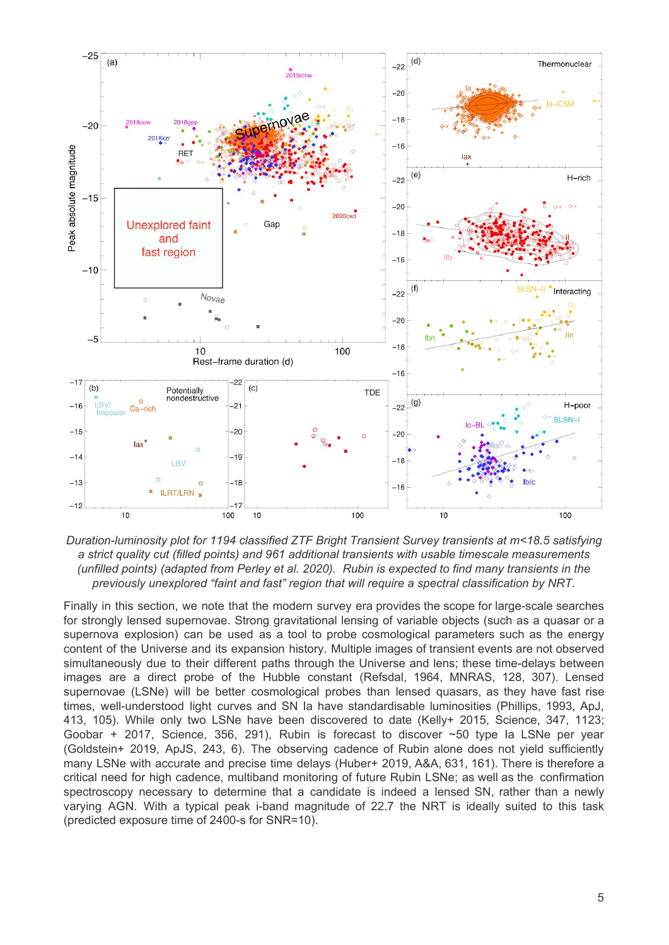

*Duration-luminosity plot for 1194 classified ZTF Bright Transient Survey transients at m<18.5 satisfying a strict quality cut (filled points) and 961 additional transients with usable timescale measurements (unfilled points) (adapted from Perley et al. 2020). Rubin is expected to find many transients in the previously unexplored "faint and fast" region that will require a spectral classification by NRT.*

Finally in this section, we note that the modern survey era provides the scope for large-scale searches for strongly lensed supernovae. Strong gravitational lensing of variable objects (such as a quasar or a supernova explosion) can be used as a tool to probe cosmological parameters such as the energy content of the Universe and its expansion history. Multiple images of transient events are not observed simultaneously due to their different paths through the Universe and lens; these time-delays between images are a direct probe of the Hubble constant (Refsdal, 1964, MNRAS, 128, 307). Lensed supernovae (LSNe) will be better cosmological probes than lensed quasars, as they have fast rise times, well-understood light curves and SN Ia have standardisable luminosities (Phillips, 1993, ApJ, 413, 105). While only two LSNe have been discovered to date (Kelly+ 2015, Science, 347, 1123; Goobar + 2017, Science, 356, 291), Rubin is forecast to discover ~50 type Ia LSNe per year (Goldstein+ 2019, ApJS, 243, 6). The observing cadence of Rubin alone does not yield sufficiently many LSNe with accurate and precise time delays (Huber+ 2019, A&A, 631, 161). There is therefore a critical need for high cadence, multiband monitoring of future Rubin LSNe; as well as the confirmation spectroscopy necessary to determine that a candidate is indeed a lensed SN, rather than a newly varying AGN. With a typical peak i-band magnitude of 22.7 the NRT is ideally suited to this task (predicted exposure time of 2400-s for SNR=10).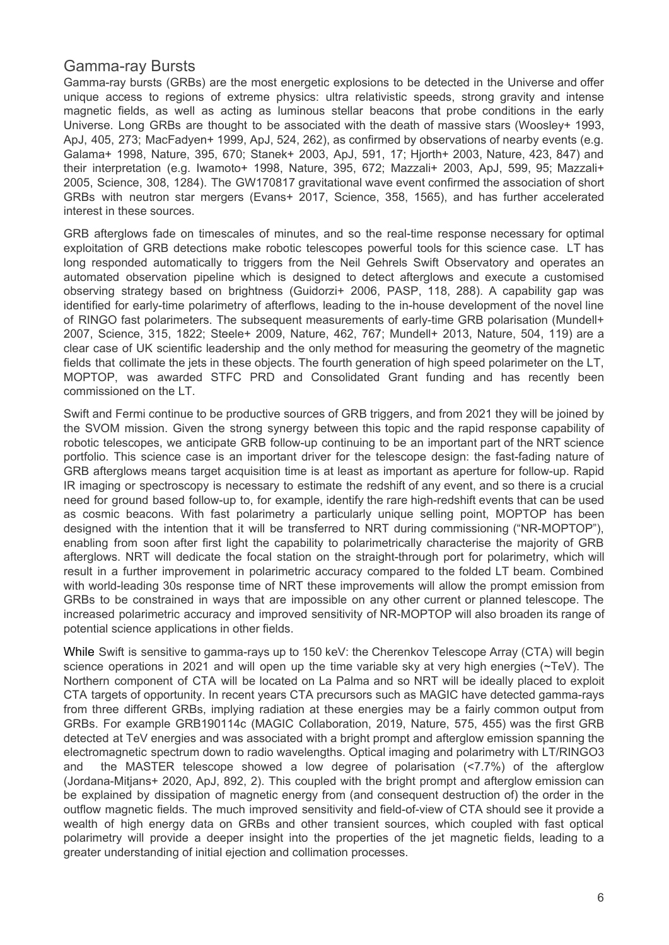#### Gamma-ray Bursts

Gamma-ray bursts (GRBs) are the most energetic explosions to be detected in the Universe and offer unique access to regions of extreme physics: ultra relativistic speeds, strong gravity and intense magnetic fields, as well as acting as luminous stellar beacons that probe conditions in the early Universe. Long GRBs are thought to be associated with the death of massive stars (Woosley+ 1993, ApJ, 405, 273; MacFadyen+ 1999, ApJ, 524, 262), as confirmed by observations of nearby events (e.g. Galama+ 1998, Nature, 395, 670; Stanek+ 2003, ApJ, 591, 17; Hjorth+ 2003, Nature, 423, 847) and their interpretation (e.g. Iwamoto+ 1998, Nature, 395, 672; Mazzali+ 2003, ApJ, 599, 95; Mazzali+ 2005, Science, 308, 1284). The GW170817 gravitational wave event confirmed the association of short GRBs with neutron star mergers (Evans+ 2017, Science, 358, 1565), and has further accelerated interest in these sources.

GRB afterglows fade on timescales of minutes, and so the real-time response necessary for optimal exploitation of GRB detections make robotic telescopes powerful tools for this science case. LT has long responded automatically to triggers from the Neil Gehrels Swift Observatory and operates an automated observation pipeline which is designed to detect afterglows and execute a customised observing strategy based on brightness (Guidorzi+ 2006, PASP, 118, 288). A capability gap was identified for early-time polarimetry of afterflows, leading to the in-house development of the novel line of RINGO fast polarimeters. The subsequent measurements of early-time GRB polarisation (Mundell+ 2007, Science, 315, 1822; Steele+ 2009, Nature, 462, 767; Mundell+ 2013, Nature, 504, 119) are a clear case of UK scientific leadership and the only method for measuring the geometry of the magnetic fields that collimate the jets in these objects. The fourth generation of high speed polarimeter on the LT, MOPTOP, was awarded STFC PRD and Consolidated Grant funding and has recently been commissioned on the LT.

Swift and Fermi continue to be productive sources of GRB triggers, and from 2021 they will be joined by the SVOM mission. Given the strong synergy between this topic and the rapid response capability of robotic telescopes, we anticipate GRB follow-up continuing to be an important part of the NRT science portfolio. This science case is an important driver for the telescope design: the fast-fading nature of GRB afterglows means target acquisition time is at least as important as aperture for follow-up. Rapid IR imaging or spectroscopy is necessary to estimate the redshift of any event, and so there is a crucial need for ground based follow-up to, for example, identify the rare high-redshift events that can be used as cosmic beacons. With fast polarimetry a particularly unique selling point, MOPTOP has been designed with the intention that it will be transferred to NRT during commissioning ("NR-MOPTOP"), enabling from soon after first light the capability to polarimetrically characterise the majority of GRB afterglows. NRT will dedicate the focal station on the straight-through port for polarimetry, which will result in a further improvement in polarimetric accuracy compared to the folded LT beam. Combined with world-leading 30s response time of NRT these improvements will allow the prompt emission from GRBs to be constrained in ways that are impossible on any other current or planned telescope. The increased polarimetric accuracy and improved sensitivity of NR-MOPTOP will also broaden its range of potential science applications in other fields.

While Swift is sensitive to gamma-rays up to 150 keV: the Cherenkov Telescope Array (CTA) will begin science operations in 2021 and will open up the time variable sky at very high energies (~TeV). The Northern component of CTA will be located on La Palma and so NRT will be ideally placed to exploit CTA targets of opportunity. In recent years CTA precursors such as MAGIC have detected gamma-rays from three different GRBs, implying radiation at these energies may be a fairly common output from GRBs. For example GRB190114c (MAGIC Collaboration, 2019, Nature, 575, 455) was the first GRB detected at TeV energies and was associated with a bright prompt and afterglow emission spanning the electromagnetic spectrum down to radio wavelengths. Optical imaging and polarimetry with LT/RINGO3 and the MASTER telescope showed a low degree of polarisation (<7.7%) of the afterglow (Jordana-Mitjans+ 2020, ApJ, 892, 2). This coupled with the bright prompt and afterglow emission can be explained by dissipation of magnetic energy from (and consequent destruction of) the order in the outflow magnetic fields. The much improved sensitivity and field-of-view of CTA should see it provide a wealth of high energy data on GRBs and other transient sources, which coupled with fast optical polarimetry will provide a deeper insight into the properties of the jet magnetic fields, leading to a greater understanding of initial ejection and collimation processes.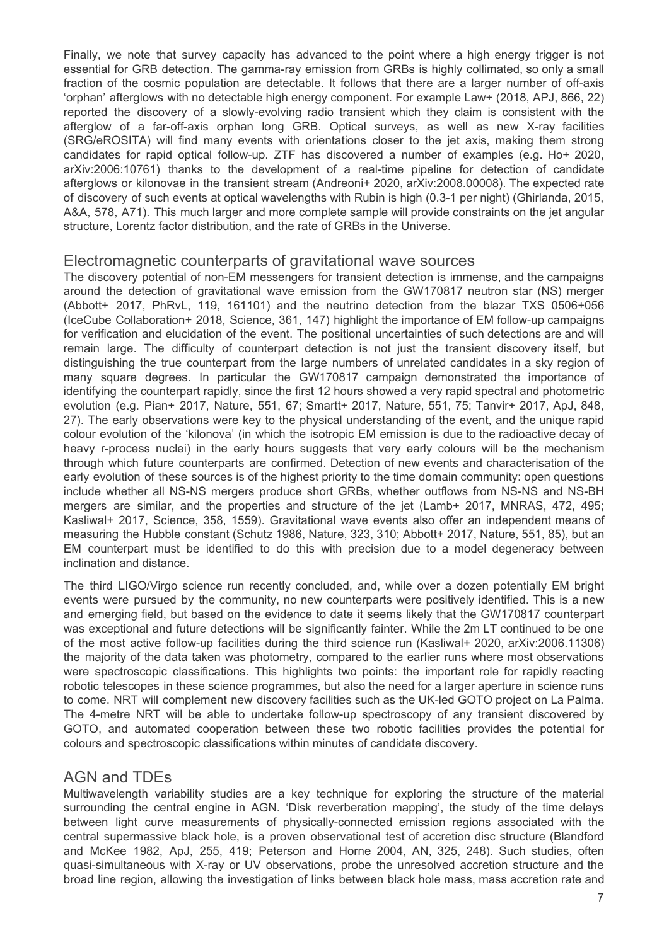Finally, we note that survey capacity has advanced to the point where a high energy trigger is not essential for GRB detection. The gamma-ray emission from GRBs is highly collimated, so only a small fraction of the cosmic population are detectable. It follows that there are a larger number of off-axis 'orphan' afterglows with no detectable high energy component. For example Law+ (2018, APJ, 866, 22) reported the discovery of a slowly-evolving radio transient which they claim is consistent with the afterglow of a far-off-axis orphan long GRB. Optical surveys, as well as new X-ray facilities (SRG/eROSITA) will find many events with orientations closer to the jet axis, making them strong candidates for rapid optical follow-up. ZTF has discovered a number of examples (e.g. Ho+ 2020, arXiv:2006:10761) thanks to the development of a real-time pipeline for detection of candidate afterglows or kilonovae in the transient stream (Andreoni+ 2020, arXiv:2008.00008). The expected rate of discovery of such events at optical wavelengths with Rubin is high (0.3-1 per night) (Ghirlanda, 2015, A&A, 578, A71). This much larger and more complete sample will provide constraints on the jet angular structure, Lorentz factor distribution, and the rate of GRBs in the Universe.

#### Electromagnetic counterparts of gravitational wave sources

The discovery potential of non-EM messengers for transient detection is immense, and the campaigns around the detection of gravitational wave emission from the GW170817 neutron star (NS) merger (Abbott+ 2017, PhRvL, 119, 161101) and the neutrino detection from the blazar TXS 0506+056 (IceCube Collaboration+ 2018, Science, 361, 147) highlight the importance of EM follow-up campaigns for verification and elucidation of the event. The positional uncertainties of such detections are and will remain large. The difficulty of counterpart detection is not just the transient discovery itself, but distinguishing the true counterpart from the large numbers of unrelated candidates in a sky region of many square degrees. In particular the GW170817 campaign demonstrated the importance of identifying the counterpart rapidly, since the first 12 hours showed a very rapid spectral and photometric evolution (e.g. Pian+ 2017, Nature, 551, 67; Smartt+ 2017, Nature, 551, 75; Tanvir+ 2017, ApJ, 848, 27). The early observations were key to the physical understanding of the event, and the unique rapid colour evolution of the 'kilonova' (in which the isotropic EM emission is due to the radioactive decay of heavy r-process nuclei) in the early hours suggests that very early colours will be the mechanism through which future counterparts are confirmed. Detection of new events and characterisation of the early evolution of these sources is of the highest priority to the time domain community: open questions include whether all NS-NS mergers produce short GRBs, whether outflows from NS-NS and NS-BH mergers are similar, and the properties and structure of the jet (Lamb+ 2017, MNRAS, 472, 495; Kasliwal+ 2017, Science, 358, 1559). Gravitational wave events also offer an independent means of measuring the Hubble constant (Schutz 1986, Nature, 323, 310; Abbott+ 2017, Nature, 551, 85), but an EM counterpart must be identified to do this with precision due to a model degeneracy between inclination and distance.

The third LIGO/Virgo science run recently concluded, and, while over a dozen potentially EM bright events were pursued by the community, no new counterparts were positively identified. This is a new and emerging field, but based on the evidence to date it seems likely that the GW170817 counterpart was exceptional and future detections will be significantly fainter. While the 2m LT continued to be one of the most active follow-up facilities during the third science run (Kasliwal+ 2020, arXiv:2006.11306) the majority of the data taken was photometry, compared to the earlier runs where most observations were spectroscopic classifications. This highlights two points: the important role for rapidly reacting robotic telescopes in these science programmes, but also the need for a larger aperture in science runs to come. NRT will complement new discovery facilities such as the UK-led GOTO project on La Palma. The 4-metre NRT will be able to undertake follow-up spectroscopy of any transient discovered by GOTO, and automated cooperation between these two robotic facilities provides the potential for colours and spectroscopic classifications within minutes of candidate discovery.

#### AGN and TDEs

Multiwavelength variability studies are a key technique for exploring the structure of the material surrounding the central engine in AGN. 'Disk reverberation mapping', the study of the time delays between light curve measurements of physically-connected emission regions associated with the central supermassive black hole, is a proven observational test of accretion disc structure (Blandford and McKee 1982, ApJ, 255, 419; Peterson and Horne 2004, AN, 325, 248). Such studies, often quasi-simultaneous with X-ray or UV observations, probe the unresolved accretion structure and the broad line region, allowing the investigation of links between black hole mass, mass accretion rate and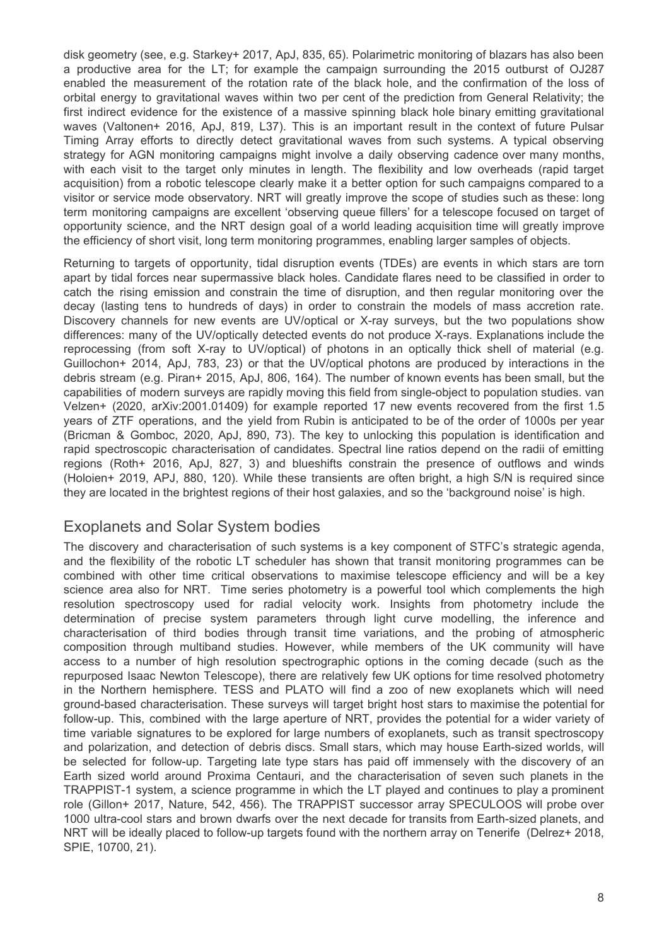disk geometry (see, e.g. Starkey+ 2017, ApJ, 835, 65). Polarimetric monitoring of blazars has also been a productive area for the LT; for example the campaign surrounding the 2015 outburst of OJ287 enabled the measurement of the rotation rate of the black hole, and the confirmation of the loss of orbital energy to gravitational waves within two per cent of the prediction from General Relativity; the first indirect evidence for the existence of a massive spinning black hole binary emitting gravitational waves (Valtonen+ 2016, ApJ, 819, L37). This is an important result in the context of future Pulsar Timing Array efforts to directly detect gravitational waves from such systems. A typical observing strategy for AGN monitoring campaigns might involve a daily observing cadence over many months, with each visit to the target only minutes in length. The flexibility and low overheads (rapid target acquisition) from a robotic telescope clearly make it a better option for such campaigns compared to a visitor or service mode observatory. NRT will greatly improve the scope of studies such as these: long term monitoring campaigns are excellent 'observing queue fillers' for a telescope focused on target of opportunity science, and the NRT design goal of a world leading acquisition time will greatly improve the efficiency of short visit, long term monitoring programmes, enabling larger samples of objects.

Returning to targets of opportunity, tidal disruption events (TDEs) are events in which stars are torn apart by tidal forces near supermassive black holes. Candidate flares need to be classified in order to catch the rising emission and constrain the time of disruption, and then regular monitoring over the decay (lasting tens to hundreds of days) in order to constrain the models of mass accretion rate. Discovery channels for new events are UV/optical or X-ray surveys, but the two populations show differences: many of the UV/optically detected events do not produce X-rays. Explanations include the reprocessing (from soft X-ray to UV/optical) of photons in an optically thick shell of material (e.g. Guillochon+ 2014, ApJ, 783, 23) or that the UV/optical photons are produced by interactions in the debris stream (e.g. Piran+ 2015, ApJ, 806, 164). The number of known events has been small, but the capabilities of modern surveys are rapidly moving this field from single-object to population studies. van Velzen+ (2020, arXiv:2001.01409) for example reported 17 new events recovered from the first 1.5 years of ZTF operations, and the yield from Rubin is anticipated to be of the order of 1000s per year (Bricman & Gomboc, 2020, ApJ, 890, 73). The key to unlocking this population is identification and rapid spectroscopic characterisation of candidates. Spectral line ratios depend on the radii of emitting regions (Roth+ 2016, ApJ, 827, 3) and blueshifts constrain the presence of outflows and winds (Holoien+ 2019, APJ, 880, 120). While these transients are often bright, a high S/N is required since they are located in the brightest regions of their host galaxies, and so the 'background noise' is high.

### Exoplanets and Solar System bodies

The discovery and characterisation of such systems is a key component of STFC's strategic agenda, and the flexibility of the robotic LT scheduler has shown that transit monitoring programmes can be combined with other time critical observations to maximise telescope efficiency and will be a key science area also for NRT. Time series photometry is a powerful tool which complements the high resolution spectroscopy used for radial velocity work. Insights from photometry include the determination of precise system parameters through light curve modelling, the inference and characterisation of third bodies through transit time variations, and the probing of atmospheric composition through multiband studies. However, while members of the UK community will have access to a number of high resolution spectrographic options in the coming decade (such as the repurposed Isaac Newton Telescope), there are relatively few UK options for time resolved photometry in the Northern hemisphere. TESS and PLATO will find a zoo of new exoplanets which will need ground-based characterisation. These surveys will target bright host stars to maximise the potential for follow-up. This, combined with the large aperture of NRT, provides the potential for a wider variety of time variable signatures to be explored for large numbers of exoplanets, such as transit spectroscopy and polarization, and detection of debris discs. Small stars, which may house Earth-sized worlds, will be selected for follow-up. Targeting late type stars has paid off immensely with the discovery of an Earth sized world around Proxima Centauri, and the characterisation of seven such planets in the TRAPPIST-1 system, a science programme in which the LT played and continues to play a prominent role (Gillon+ 2017, Nature, 542, 456). The TRAPPIST successor array SPECULOOS will probe over 1000 ultra-cool stars and brown dwarfs over the next decade for transits from Earth-sized planets, and NRT will be ideally placed to follow-up targets found with the northern array on Tenerife (Delrez+ 2018, SPIE, 10700, 21).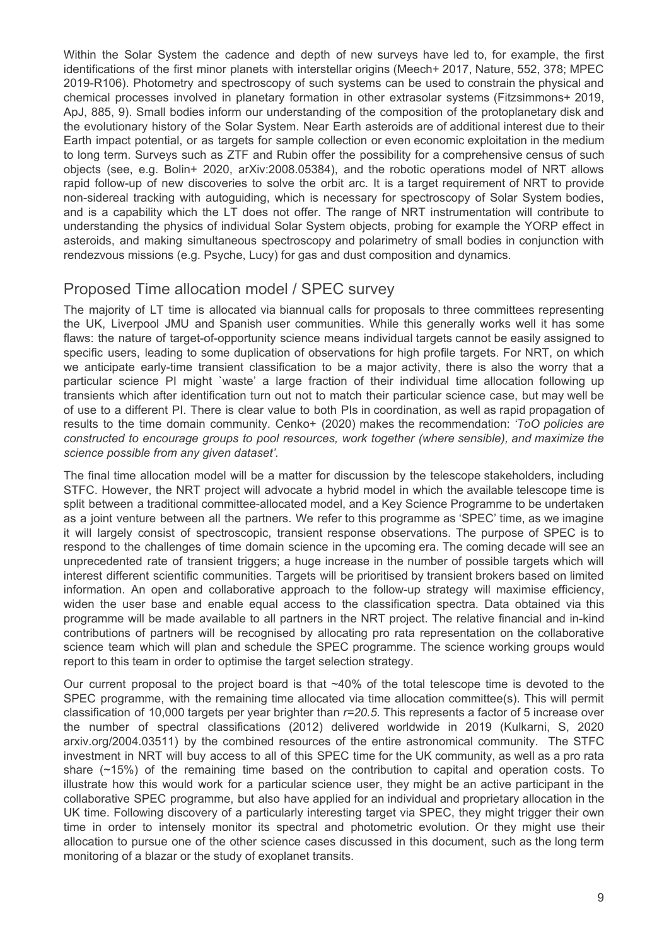Within the Solar System the cadence and depth of new surveys have led to, for example, the first identifications of the first minor planets with interstellar origins (Meech+ 2017, Nature, 552, 378; MPEC 2019-R106). Photometry and spectroscopy of such systems can be used to constrain the physical and chemical processes involved in planetary formation in other extrasolar systems (Fitzsimmons+ 2019, ApJ, 885, 9). Small bodies inform our understanding of the composition of the protoplanetary disk and the evolutionary history of the Solar System. Near Earth asteroids are of additional interest due to their Earth impact potential, or as targets for sample collection or even economic exploitation in the medium to long term. Surveys such as ZTF and Rubin offer the possibility for a comprehensive census of such objects (see, e.g. Bolin+ 2020, arXiv:2008.05384), and the robotic operations model of NRT allows rapid follow-up of new discoveries to solve the orbit arc. It is a target requirement of NRT to provide non-sidereal tracking with autoguiding, which is necessary for spectroscopy of Solar System bodies, and is a capability which the LT does not offer. The range of NRT instrumentation will contribute to understanding the physics of individual Solar System objects, probing for example the YORP effect in asteroids, and making simultaneous spectroscopy and polarimetry of small bodies in conjunction with rendezvous missions (e.g. Psyche, Lucy) for gas and dust composition and dynamics.

## Proposed Time allocation model / SPEC survey

The majority of LT time is allocated via biannual calls for proposals to three committees representing the UK, Liverpool JMU and Spanish user communities. While this generally works well it has some flaws: the nature of target-of-opportunity science means individual targets cannot be easily assigned to specific users, leading to some duplication of observations for high profile targets. For NRT, on which we anticipate early-time transient classification to be a major activity, there is also the worry that a particular science PI might `waste' a large fraction of their individual time allocation following up transients which after identification turn out not to match their particular science case, but may well be of use to a different PI. There is clear value to both PIs in coordination, as well as rapid propagation of results to the time domain community. Cenko+ (2020) makes the recommendation: *'ToO policies are constructed to encourage groups to pool resources, work together (where sensible), and maximize the science possible from any given dataset'.*

The final time allocation model will be a matter for discussion by the telescope stakeholders, including STFC. However, the NRT project will advocate a hybrid model in which the available telescope time is split between a traditional committee-allocated model, and a Key Science Programme to be undertaken as a joint venture between all the partners. We refer to this programme as 'SPEC' time, as we imagine it will largely consist of spectroscopic, transient response observations. The purpose of SPEC is to respond to the challenges of time domain science in the upcoming era. The coming decade will see an unprecedented rate of transient triggers; a huge increase in the number of possible targets which will interest different scientific communities. Targets will be prioritised by transient brokers based on limited information. An open and collaborative approach to the follow-up strategy will maximise efficiency, widen the user base and enable equal access to the classification spectra. Data obtained via this programme will be made available to all partners in the NRT project. The relative financial and in-kind contributions of partners will be recognised by allocating pro rata representation on the collaborative science team which will plan and schedule the SPEC programme. The science working groups would report to this team in order to optimise the target selection strategy.

Our current proposal to the project board is that ~40% of the total telescope time is devoted to the SPEC programme, with the remaining time allocated via time allocation committee(s). This will permit classification of 10,000 targets per year brighter than *r=20.5*. This represents a factor of 5 increase over the number of spectral classifications (2012) delivered worldwide in 2019 (Kulkarni, S, 2020 arxiv.org/2004.03511) by the combined resources of the entire astronomical community. The STFC investment in NRT will buy access to all of this SPEC time for the UK community, as well as a pro rata share (~15%) of the remaining time based on the contribution to capital and operation costs. To illustrate how this would work for a particular science user, they might be an active participant in the collaborative SPEC programme, but also have applied for an individual and proprietary allocation in the UK time. Following discovery of a particularly interesting target via SPEC, they might trigger their own time in order to intensely monitor its spectral and photometric evolution. Or they might use their allocation to pursue one of the other science cases discussed in this document, such as the long term monitoring of a blazar or the study of exoplanet transits.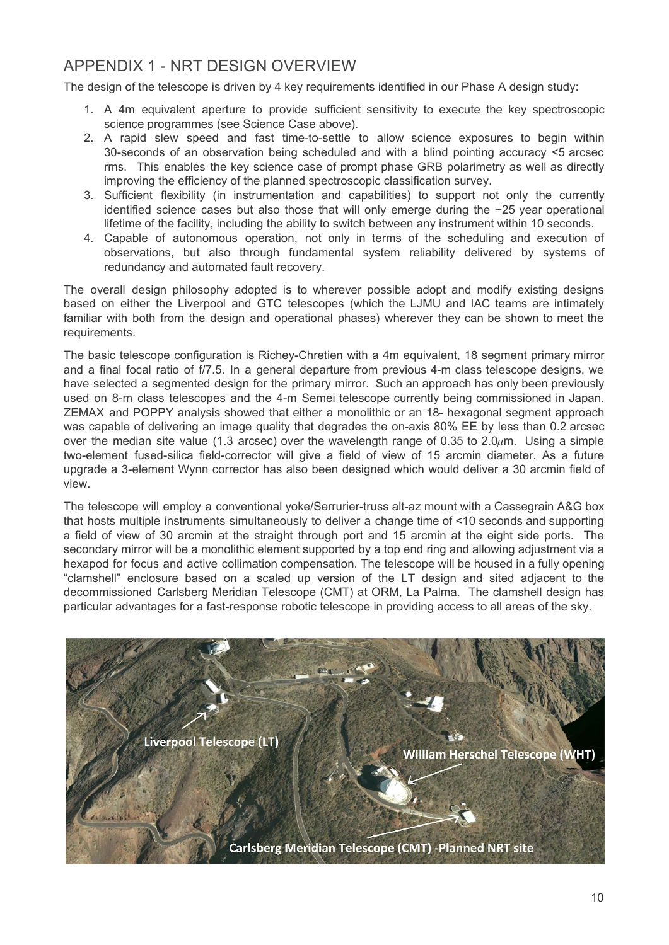## APPENDIX 1 - NRT DESIGN OVERVIEW

The design of the telescope is driven by 4 key requirements identified in our Phase A design study:

- 1. A 4m equivalent aperture to provide sufficient sensitivity to execute the key spectroscopic science programmes (see Science Case above).
- 2. A rapid slew speed and fast time-to-settle to allow science exposures to begin within 30-seconds of an observation being scheduled and with a blind pointing accuracy <5 arcsec rms. This enables the key science case of prompt phase GRB polarimetry as well as directly improving the efficiency of the planned spectroscopic classification survey.
- 3. Sufficient flexibility (in instrumentation and capabilities) to support not only the currently identified science cases but also those that will only emerge during the  $\sim$ 25 year operational lifetime of the facility, including the ability to switch between any instrument within 10 seconds.
- 4. Capable of autonomous operation, not only in terms of the scheduling and execution of observations, but also through fundamental system reliability delivered by systems of redundancy and automated fault recovery.

The overall design philosophy adopted is to wherever possible adopt and modify existing designs based on either the Liverpool and GTC telescopes (which the LJMU and IAC teams are intimately familiar with both from the design and operational phases) wherever they can be shown to meet the requirements.

The basic telescope configuration is Richey-Chretien with a 4m equivalent, 18 segment primary mirror and a final focal ratio of f/7.5. In a general departure from previous 4-m class telescope designs, we have selected a segmented design for the primary mirror. Such an approach has only been previously used on 8-m class telescopes and the 4-m Semei telescope currently being commissioned in Japan. ZEMAX and POPPY analysis showed that either a monolithic or an 18- hexagonal segment approach was capable of delivering an image quality that degrades the on-axis 80% EE by less than 0.2 arcsec over the median site value (1.3 arcsec) over the wavelength range of 0.35 to 2.0 $\mu$ m. Using a simple two-element fused-silica field-corrector will give a field of view of 15 arcmin diameter. As a future upgrade a 3-element Wynn corrector has also been designed which would deliver a 30 arcmin field of view.

The telescope will employ a conventional yoke/Serrurier-truss alt-az mount with a Cassegrain A&G box that hosts multiple instruments simultaneously to deliver a change time of <10 seconds and supporting a field of view of 30 arcmin at the straight through port and 15 arcmin at the eight side ports. The secondary mirror will be a monolithic element supported by a top end ring and allowing adjustment via a hexapod for focus and active collimation compensation. The telescope will be housed in a fully opening "clamshell" enclosure based on a scaled up version of the LT design and sited adjacent to the decommissioned Carlsberg Meridian Telescope (CMT) at ORM, La Palma. The clamshell design has particular advantages for a fast-response robotic telescope in providing access to all areas of the sky.